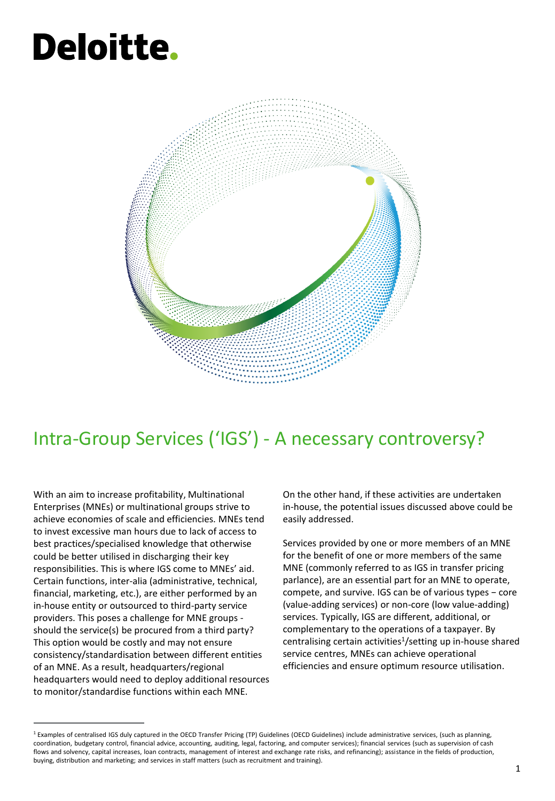# **Deloitte.**



### Intra-Group Services ('IGS') - A necessary controversy?

With an aim to increase profitability, Multinational Enterprises (MNEs) or multinational groups strive to achieve economies of scale and efficiencies. MNEs tend to invest excessive man hours due to lack of access to best practices/specialised knowledge that otherwise could be better utilised in discharging their key responsibilities. This is where IGS come to MNEs' aid. Certain functions, inter-alia (administrative, technical, financial, marketing, etc.), are either performed by an in-house entity or outsourced to third-party service providers. This poses a challenge for MNE groups should the service(s) be procured from a third party? This option would be costly and may not ensure consistency/standardisation between different entities of an MNE. As a result, headquarters/regional headquarters would need to deploy additional resources to monitor/standardise functions within each MNE.

On the other hand, if these activities are undertaken in-house, the potential issues discussed above could be easily addressed.

Services provided by one or more members of an MNE for the benefit of one or more members of the same MNE (commonly referred to as IGS in transfer pricing parlance), are an essential part for an MNE to operate, compete, and survive. IGS can be of various types − core (value-adding services) or non-core (low value-adding) services. Typically, IGS are different, additional, or complementary to the operations of a taxpayer. By centralising certain activities<sup>1</sup>/setting up in-house shared service centres, MNEs can achieve operational efficiencies and ensure optimum resource utilisation.

 $1$  Examples of centralised IGS duly captured in the OECD Transfer Pricing (TP) Guidelines (OECD Guidelines) include administrative services, (such as planning, coordination, budgetary control, financial advice, accounting, auditing, legal, factoring, and computer services); financial services (such as supervision of cash flows and solvency, capital increases, loan contracts, management of interest and exchange rate risks, and refinancing); assistance in the fields of production, buying, distribution and marketing; and services in staff matters (such as recruitment and training).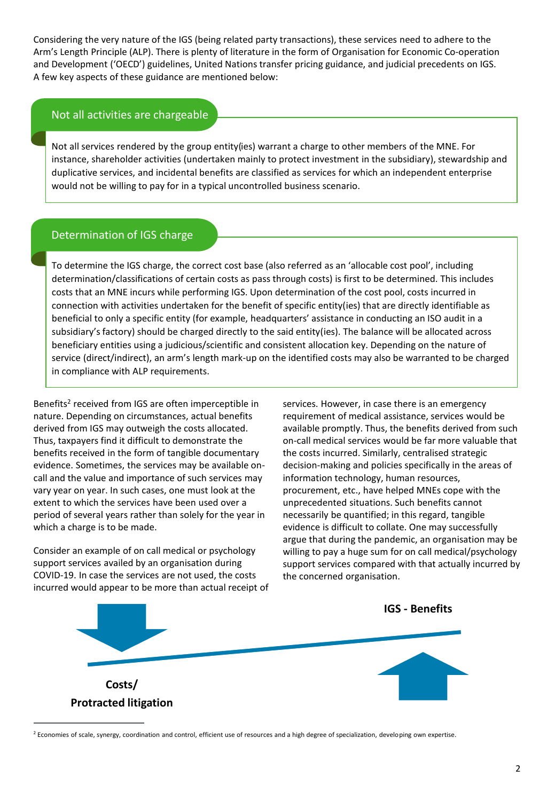Considering the very nature of the IGS (being related party transactions), these services need to adhere to the Arm's Length Principle (ALP). There is plenty of literature in the form of Organisation for Economic Co-operation and Development ('OECD') guidelines, United Nations transfer pricing guidance, and judicial precedents on IGS. A few key aspects of these guidance are mentioned below:

#### Not all activities are chargeable

Not all services rendered by the group entity(ies) warrant a charge to other members of the MNE. For instance, shareholder activities (undertaken mainly to protect investment in the subsidiary), stewardship and duplicative services, and incidental benefits are classified as services for which an independent enterprise would not be willing to pay for in a typical uncontrolled business scenario.

#### Determination of IGS charge

To determine the IGS charge, the correct cost base (also referred as an 'allocable cost pool', including determination/classifications of certain costs as pass through costs) is first to be determined. This includes costs that an MNE incurs while performing IGS. Upon determination of the cost pool, costs incurred in connection with activities undertaken for the benefit of specific entity(ies) that are directly identifiable as beneficial to only a specific entity (for example, headquarters' assistance in conducting an ISO audit in a subsidiary's factory) should be charged directly to the said entity(ies). The balance will be allocated across beneficiary entities using a judicious/scientific and consistent allocation key. Depending on the nature of service (direct/indirect), an arm's length mark-up on the identified costs may also be warranted to be charged in compliance with ALP requirements.

Benefits<sup>2</sup> received from IGS are often imperceptible in nature. Depending on circumstances, actual benefits derived from IGS may outweigh the costs allocated. Thus, taxpayers find it difficult to demonstrate the benefits received in the form of tangible documentary evidence. Sometimes, the services may be available oncall and the value and importance of such services may vary year on year. In such cases, one must look at the extent to which the services have been used over a period of several years rather than solely for the year in which a charge is to be made.

Consider an example of on call medical or psychology support services availed by an organisation during COVID-19. In case the services are not used, the costs incurred would appear to be more than actual receipt of services. However, in case there is an emergency requirement of medical assistance, services would be available promptly. Thus, the benefits derived from such on-call medical services would be far more valuable that the costs incurred. Similarly, centralised strategic decision-making and policies specifically in the areas of information technology, human resources, procurement, etc., have helped MNEs cope with the unprecedented situations. Such benefits cannot necessarily be quantified; in this regard, tangible evidence is difficult to collate. One may successfully argue that during the pandemic, an organisation may be willing to pay a huge sum for on call medical/psychology support services compared with that actually incurred by the concerned organisation.



<sup>&</sup>lt;sup>2</sup> Economies of scale, synergy, coordination and control, efficient use of resources and a high degree of specialization, developing own expertise.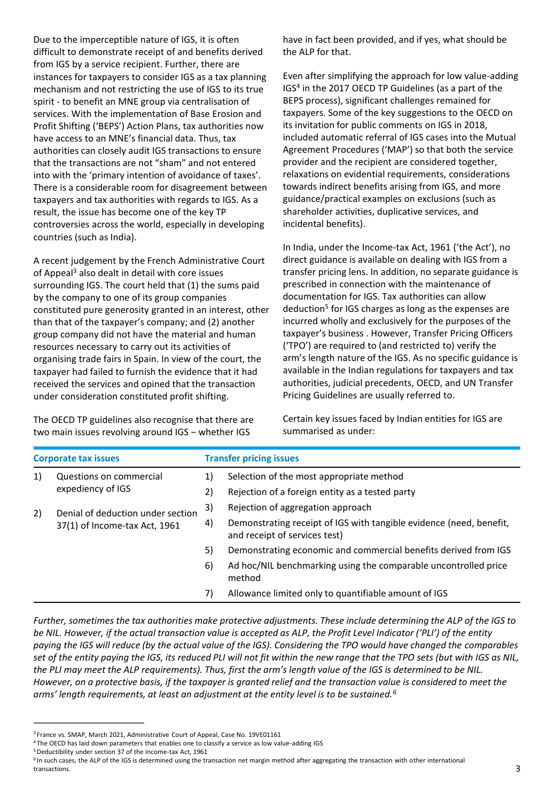Due to the imperceptible nature of IGS, it is often difficult to demonstrate receipt of and benefits derived from IGS by a service recipient. Further, there are instances for taxpayers to consider IGS as a tax planning mechanism and not restricting the use of IGS to its true spirit - to benefit an MNE group via centralisation of services. With the implementation of Base Erosion and Profit Shifting ('BEPS') Action Plans, tax authorities now have access to an MNE's financial data. Thus, tax authorities can closely audit IGS transactions to ensure that the transactions are not "sham" and not entered into with the 'primary intention of avoidance of taxes'. There is a considerable room for disagreement between taxpayers and tax authorities with regards to IGS. As a result, the issue has become one of the key TP controversies across the world, especially in developing countries (such as India).

A recent judgement by the French Administrative Court of Appeal<sup>3</sup> also dealt in detail with core issues surrounding IGS. The court held that (1) the sums paid by the company to one of its group companies constituted pure generosity granted in an interest, other than that of the taxpayer's company; and (2) another group company did not have the material and human resources necessary to carry out its activities of organising trade fairs in Spain. In view of the court, the taxpayer had failed to furnish the evidence that it had received the services and opined that the transaction under consideration constituted profit shifting.

The OECD TP guidelines also recognise that there are two main issues revolving around IGS − whether IGS

have in fact been provided, and if yes, what should be the ALP for that.

Even after simplifying the approach for low value-adding IGS<sup>4</sup> in the 2017 OECD TP Guidelines (as a part of the BEPS process), significant challenges remained for taxpayers. Some of the key suggestions to the OECD on its invitation for public comments on IGS in 2018, included automatic referral of IGS cases into the Mutual Agreement Procedures ('MAP') so that both the service provider and the recipient are considered together, relaxations on evidential requirements, considerations towards indirect benefits arising from IGS, and more guidance/practical examples on exclusions (such as shareholder activities, duplicative services, and incidental benefits).

In India, under the Income-tax Act, 1961 ('the Act'), no direct guidance is available on dealing with IGS from a transfer pricing lens. In addition, no separate guidance is prescribed in connection with the maintenance of documentation for IGS. Tax authorities can allow deduction<sup>5</sup> for IGS charges as long as the expenses are incurred wholly and exclusively for the purposes of the taxpayer's business . However, Transfer Pricing Officers ('TPO') are required to (and restricted to) verify the arm's length nature of the IGS. As no specific guidance is available in the Indian regulations for taxpayers and tax authorities, judicial precedents, OECD, and UN Transfer Pricing Guidelines are usually referred to.

Certain key issues faced by Indian entities for IGS are summarised as under:

| <b>Corporate tax issues</b> |                                                                    | <b>Transfer pricing issues</b> |                                                                                                      |
|-----------------------------|--------------------------------------------------------------------|--------------------------------|------------------------------------------------------------------------------------------------------|
| 1)                          | Questions on commercial<br>expediency of IGS                       | 1)                             | Selection of the most appropriate method                                                             |
|                             |                                                                    | 2)                             | Rejection of a foreign entity as a tested party                                                      |
| 2)                          | Denial of deduction under section<br>37(1) of Income-tax Act, 1961 | 3)                             | Rejection of aggregation approach                                                                    |
|                             |                                                                    | 4)                             | Demonstrating receipt of IGS with tangible evidence (need, benefit,<br>and receipt of services test) |
|                             |                                                                    | 5)                             | Demonstrating economic and commercial benefits derived from IGS                                      |
|                             |                                                                    | 6)                             | Ad hoc/NIL benchmarking using the comparable uncontrolled price<br>method                            |
|                             |                                                                    | 7)                             | Allowance limited only to quantifiable amount of IGS                                                 |

*Further, sometimes the tax authorities make protective adjustments. These include determining the ALP of the IGS to be NIL. However, if the actual transaction value is accepted as ALP, the Profit Level Indicator ('PLI') of the entity paying the IGS will reduce (by the actual value of the IGS). Considering the TPO would have changed the comparables set of the entity paying the IGS, its reduced PLI will not fit within the new range that the TPO sets (but with IGS as NIL, the PLI may meet the ALP requirements). Thus, first the arm's length value of the IGS is determined to be NIL.*  However, on a protective basis, if the taxpayer is granted relief and the transaction value is considered to meet the *arms' length requirements, at least an adjustment at the entity level is to be sustained.<sup>6</sup>*

<sup>6</sup> In such cases, the ALP of the IGS is determined using the transaction net margin method after aggregating the transaction with other international transactions.

<sup>&</sup>lt;sup>3</sup> France vs. SMAP, March 2021, Administrative Court of Appeal, Case No. 19VE01161

<sup>4</sup>The OECD has laid down parameters that enables one to classify a service as low value-adding IGS

<sup>5</sup>Deductibility under section 37 of the Income-tax Act, 1961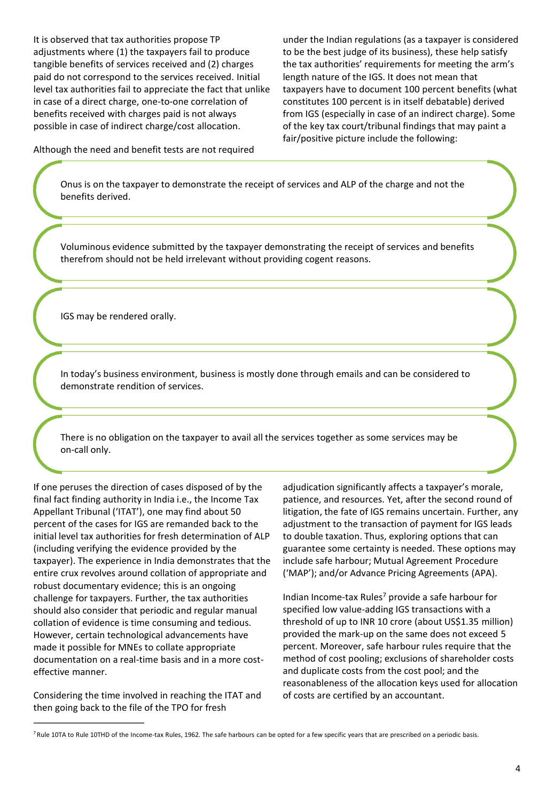It is observed that tax authorities propose TP adjustments where (1) the taxpayers fail to produce tangible benefits of services received and (2) charges paid do not correspond to the services received. Initial level tax authorities fail to appreciate the fact that unlike in case of a direct charge, one-to-one correlation of benefits received with charges paid is not always possible in case of indirect charge/cost allocation.

under the Indian regulations (as a taxpayer is considered to be the best judge of its business), these help satisfy the tax authorities' requirements for meeting the arm's length nature of the IGS. It does not mean that taxpayers have to document 100 percent benefits (what constitutes 100 percent is in itself debatable) derived from IGS (especially in case of an indirect charge). Some of the key tax court/tribunal findings that may paint a fair/positive picture include the following:

Although the need and benefit tests are not required

Onus is on the taxpayer to demonstrate the receipt of services and ALP of the charge and not the benefits derived.

Voluminous evidence submitted by the taxpayer demonstrating the receipt of services and benefits therefrom should not be held irrelevant without providing cogent reasons.

IGS may be rendered orally.

In today's business environment, business is mostly done through emails and can be considered to demonstrate rendition of services.

There is no obligation on the taxpayer to avail all the services together as some services may be on-call only.

If one peruses the direction of cases disposed of by the final fact finding authority in India i.e., the Income Tax Appellant Tribunal ('ITAT'), one may find about 50 percent of the cases for IGS are remanded back to the initial level tax authorities for fresh determination of ALP (including verifying the evidence provided by the taxpayer). The experience in India demonstrates that the entire crux revolves around collation of appropriate and robust documentary evidence; this is an ongoing challenge for taxpayers. Further, the tax authorities should also consider that periodic and regular manual collation of evidence is time consuming and tedious. However, certain technological advancements have made it possible for MNEs to collate appropriate documentation on a real-time basis and in a more costeffective manner.

Considering the time involved in reaching the ITAT and then going back to the file of the TPO for fresh

adjudication significantly affects a taxpayer's morale, patience, and resources. Yet, after the second round of litigation, the fate of IGS remains uncertain. Further, any adjustment to the transaction of payment for IGS leads to double taxation. Thus, exploring options that can guarantee some certainty is needed. These options may include safe harbour; Mutual Agreement Procedure ('MAP'); and/or Advance Pricing Agreements (APA).

Indian Income-tax Rules<sup>7</sup> provide a safe harbour for specified low value-adding IGS transactions with a threshold of up to INR 10 crore (about US\$1.35 million) provided the mark-up on the same does not exceed 5 percent. Moreover, safe harbour rules require that the method of cost pooling; exclusions of shareholder costs and duplicate costs from the cost pool; and the reasonableness of the allocation keys used for allocation of costs are certified by an accountant.

<sup>&</sup>lt;sup>7</sup>Rule 10TA to Rule 10THD of the Income-tax Rules, 1962. The safe harbours can be opted for a few specific years that are prescribed on a periodic basis.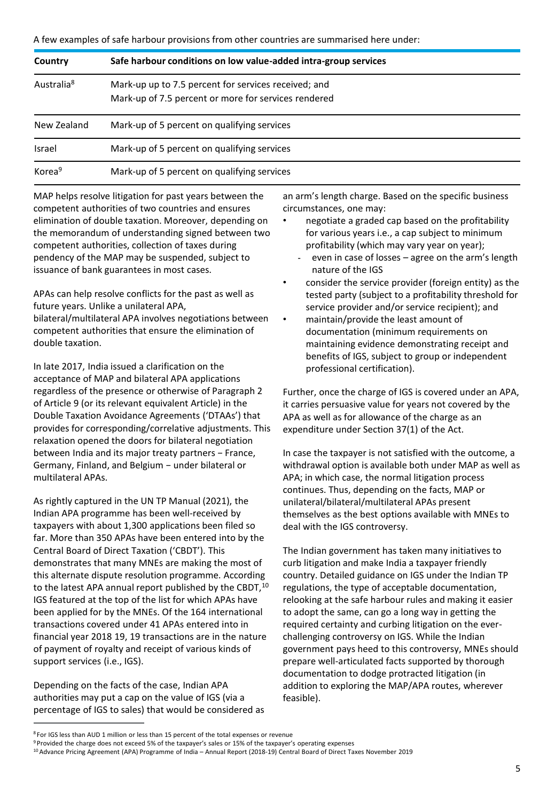A few examples of safe harbour provisions from other countries are summarised here under:

| Country                | Safe harbour conditions on low value-added intra-group services                                              |
|------------------------|--------------------------------------------------------------------------------------------------------------|
| Australia <sup>8</sup> | Mark-up up to 7.5 percent for services received; and<br>Mark-up of 7.5 percent or more for services rendered |
| New Zealand            | Mark-up of 5 percent on qualifying services                                                                  |
| <b>Israel</b>          | Mark-up of 5 percent on qualifying services                                                                  |
| Korea <sup>9</sup>     | Mark-up of 5 percent on qualifying services                                                                  |

MAP helps resolve litigation for past years between the competent authorities of two countries and ensures elimination of double taxation. Moreover, depending on the memorandum of understanding signed between two competent authorities, collection of taxes during pendency of the MAP may be suspended, subject to issuance of bank guarantees in most cases.

APAs can help resolve conflicts for the past as well as future years. Unlike a unilateral APA,

bilateral/multilateral APA involves negotiations between competent authorities that ensure the elimination of double taxation.

In late 2017, India issued a clarification on the acceptance of MAP and bilateral APA applications regardless of the presence or otherwise of Paragraph 2 of Article 9 (or its relevant equivalent Article) in the Double Taxation Avoidance Agreements ('DTAAs') that provides for corresponding/correlative adjustments. This relaxation opened the doors for bilateral negotiation between India and its major treaty partners − France, Germany, Finland, and Belgium − under bilateral or multilateral APAs.

As rightly captured in the UN TP Manual (2021), the Indian APA programme has been well-received by taxpayers with about 1,300 applications been filed so far. More than 350 APAs have been entered into by the Central Board of Direct Taxation ('CBDT'). This demonstrates that many MNEs are making the most of this alternate dispute resolution programme. According to the latest APA annual report published by the CBDT,<sup>10</sup> IGS featured at the top of the list for which APAs have been applied for by the MNEs. Of the 164 international transactions covered under 41 APAs entered into in financial year 2018 19, 19 transactions are in the nature of payment of royalty and receipt of various kinds of support services (i.e., IGS).

Depending on the facts of the case, Indian APA authorities may put a cap on the value of IGS (via a percentage of IGS to sales) that would be considered as an arm's length charge. Based on the specific business circumstances, one may:

- negotiate a graded cap based on the profitability for various years i.e., a cap subject to minimum profitability (which may vary year on year);
	- even in case of losses agree on the arm's length nature of the IGS
- consider the service provider (foreign entity) as the tested party (subject to a profitability threshold for service provider and/or service recipient); and
- maintain/provide the least amount of documentation (minimum requirements on maintaining evidence demonstrating receipt and benefits of IGS, subject to group or independent professional certification).

Further, once the charge of IGS is covered under an APA, it carries persuasive value for years not covered by the APA as well as for allowance of the charge as an expenditure under Section 37(1) of the Act.

In case the taxpayer is not satisfied with the outcome, a withdrawal option is available both under MAP as well as APA; in which case, the normal litigation process continues. Thus, depending on the facts, MAP or unilateral/bilateral/multilateral APAs present themselves as the best options available with MNEs to deal with the IGS controversy.

The Indian government has taken many initiatives to curb litigation and make India a taxpayer friendly country. Detailed guidance on IGS under the Indian TP regulations, the type of acceptable documentation, relooking at the safe harbour rules and making it easier to adopt the same, can go a long way in getting the required certainty and curbing litigation on the everchallenging controversy on IGS. While the Indian government pays heed to this controversy, MNEs should prepare well-articulated facts supported by thorough documentation to dodge protracted litigation (in addition to exploring the MAP/APA routes, wherever feasible).

<sup>8</sup>For IGS less than AUD 1 million or less than 15 percent of the total expenses or revenue

<sup>9</sup> Provided the charge does not exceed 5% of the taxpayer's sales or 15% of the taxpayer's operating expenses

<sup>10</sup>Advance Pricing Agreement (APA) Programme of India – Annual Report (2018-19) Central Board of Direct Taxes November 2019